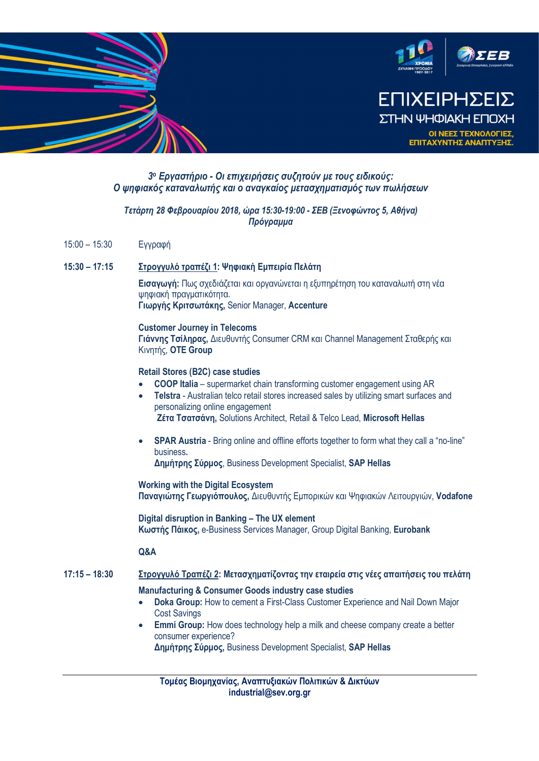

# 3ο Εργαστήριο - Οι επιχειρήσεις συζητούν με τους ειδικούς: Ο ψηφιακός καταναλωτής και ο αναγκαίος μετασχηματισμός των πωλήσεων

## Τετάρτη 28 Φεβρουαρίου 2018, ώρα 15:30-19:00 - ΣΕΒ (Ξενοφώντος 5, Αθήνα) Πρόγραμμα

15:00 – 15:30 Εγγραφή

### 15:30 – 17:15 Στρογγυλό τραπέζι 1: Ψηφιακή Εμπειρία Πελάτη

Εισαγωγή: Πως σχεδιάζεται και οργανώνεται η εξυπηρέτηση του καταναλωτή στη νέα ψηφιακή πραγματικότητα. Γιωργής Κριτσωτάκης, Senior Manager, Accenture

#### **Customer Journey in Telecoms**

Γιάννης Τσίληρας, Διευθυντής Consumer CRM και Channel Management Σταθερής και Κινητής, OTE Group

### Retail Stores (B2C) case studies

- COOP Italia supermarket chain transforming customer engagement using AR
- Telstra Australian telco retail stores increased sales by utilizing smart surfaces and personalizing online engagement Ζέτα Τσατσάνη, Solutions Architect, Retail & Telco Lead, Microsoft Hellas
- SPAR Austria Bring online and offline efforts together to form what they call a "no-line" business.<br>**Δημήτρης Σύρμος**, Business Development Specialist, SAP Hellas

**Working with the Digital Ecosystem** Παναγιώτης Γεωργιόπουλος, Διευθυντής Εμπορικών και Ψηφιακών Λειτουργιών, Vodafone

Digital disruption in Banking - The UX element Κωστής Πάικος, e-Business Services Manager, Group Digital Banking, Eurobank

# 16:45 **Q&A**

# 17:15 – 18:30 Στρογγυλό Τραπέζι 2: Μετασχηματίζοντας την εταιρεία στις νέες απαιτήσεις του πελάτη

## Manufacturing & Consumer Goods industry case studies

- Doka Group: How to cement a First-Class Customer Experience and Nail Down Major Cost Savings
- **Emmi Group:** How does technology help a milk and cheese company create a better consumer experience? Δημήτρης Σύρμος, Business Development Specialist, SAP Hellas

Τομέας Βιομηχανίας, Αναπτυξιακών Πολιτικών & Δικτύων industrial@sev.org.gr